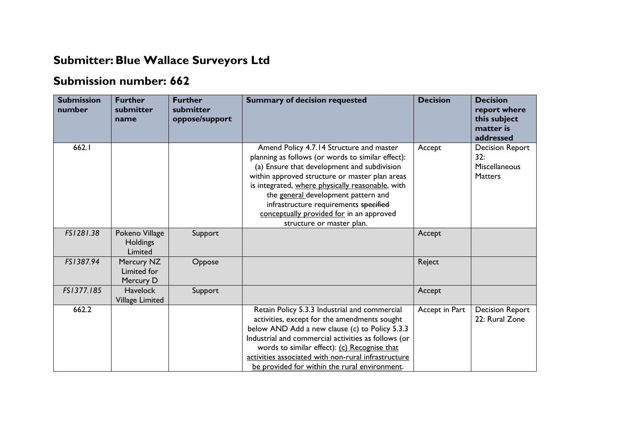## **Submitter:Blue Wallace Surveyors Ltd**

## **Submission number: 662**

| <b>Submission</b><br>number | <b>Further</b><br>submitter<br>name          | <b>Further</b><br>submitter<br>oppose/support | <b>Summary of decision requested</b>                                                                                                                                                                                                                                                                                                                                                                        | <b>Decision</b> | <b>Decision</b><br>report where<br>this subject<br>matter is<br>addressed |
|-----------------------------|----------------------------------------------|-----------------------------------------------|-------------------------------------------------------------------------------------------------------------------------------------------------------------------------------------------------------------------------------------------------------------------------------------------------------------------------------------------------------------------------------------------------------------|-----------------|---------------------------------------------------------------------------|
| 662.I                       |                                              |                                               | Amend Policy 4.7.14 Structure and master<br>planning as follows (or words to similar effect):<br>(a) Ensure that development and subdivision<br>within approved structure or master plan areas<br>is integrated, where physically reasonable, with<br>the general development pattern and<br>infrastructure requirements specified<br>conceptually provided for in an approved<br>structure or master plan. | Accept          | <b>Decision Report</b><br>32:<br>Miscellaneous<br><b>Matters</b>          |
| FS1281.38                   | Pokeno Village<br><b>Holdings</b><br>Limited | Support                                       |                                                                                                                                                                                                                                                                                                                                                                                                             | Accept          |                                                                           |
| FS1387.94                   | Mercury NZ<br>Limited for<br>Mercury D       | Oppose                                        |                                                                                                                                                                                                                                                                                                                                                                                                             | Reject          |                                                                           |
| FS1377.185                  | <b>Havelock</b><br><b>Village Limited</b>    | Support                                       |                                                                                                                                                                                                                                                                                                                                                                                                             | Accept          |                                                                           |
| 662.2                       |                                              |                                               | Retain Policy 5.3.3 Industrial and commercial<br>activities, except for the amendments sought<br>below AND Add a new clause (c) to Policy 5.3.3<br>Industrial and commercial activities as follows (or<br>words to similar effect): (c) Recognise that<br>activities associated with non-rural infrastructure<br>be provided for within the rural environment.                                              | Accept in Part  | <b>Decision Report</b><br>22: Rural Zone                                  |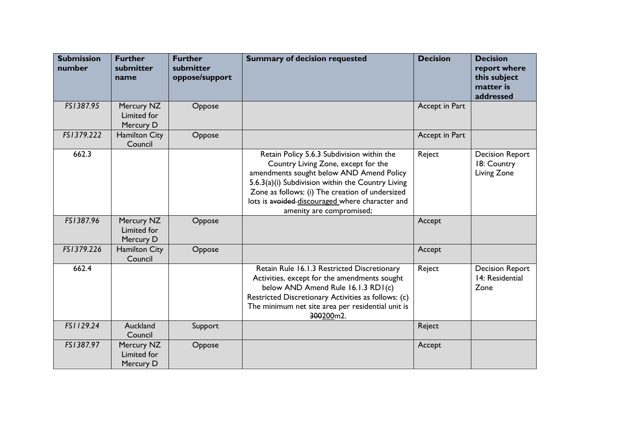| <b>Submission</b><br>number | <b>Further</b><br>submitter<br>name    | <b>Further</b><br>submitter<br>oppose/support | <b>Summary of decision requested</b>                                                                                                                                                                                                                                                                                 | <b>Decision</b> | <b>Decision</b><br>report where<br>this subject<br>matter is<br>addressed |
|-----------------------------|----------------------------------------|-----------------------------------------------|----------------------------------------------------------------------------------------------------------------------------------------------------------------------------------------------------------------------------------------------------------------------------------------------------------------------|-----------------|---------------------------------------------------------------------------|
| FS1387.95                   | Mercury NZ<br>Limited for<br>Mercury D | Oppose                                        |                                                                                                                                                                                                                                                                                                                      | Accept in Part  |                                                                           |
| FS1379.222                  | <b>Hamilton City</b><br>Council        | Oppose                                        |                                                                                                                                                                                                                                                                                                                      | Accept in Part  |                                                                           |
| 662.3                       |                                        |                                               | Retain Policy 5.6.3 Subdivision within the<br>Country Living Zone, except for the<br>amendments sought below AND Amend Policy<br>5.6.3(a)(i) Subdivision within the Country Living<br>Zone as follows: (i) The creation of undersized<br>lots is avoided-discouraged where character and<br>amenity are compromised; | Reject          | <b>Decision Report</b><br>18: Country<br>Living Zone                      |
| FS1387.96                   | Mercury NZ<br>Limited for<br>Mercury D | Oppose                                        |                                                                                                                                                                                                                                                                                                                      | Accept          |                                                                           |
| FS1379.226                  | <b>Hamilton City</b><br>Council        | Oppose                                        |                                                                                                                                                                                                                                                                                                                      | Accept          |                                                                           |
| 662.4                       |                                        |                                               | Retain Rule 16.1.3 Restricted Discretionary<br>Activities, except for the amendments sought<br>below AND Amend Rule 16.1.3 RD1(c)<br>Restricted Discretionary Activities as follows: (c)<br>The minimum net site area per residential unit is<br>300200m2.                                                           | Reject          | <b>Decision Report</b><br>14: Residential<br>Zone                         |
| FS1129.24                   | Auckland<br>Council                    | Support                                       |                                                                                                                                                                                                                                                                                                                      | Reject          |                                                                           |
| FS1387.97                   | Mercury NZ<br>Limited for<br>Mercury D | Oppose                                        |                                                                                                                                                                                                                                                                                                                      | Accept          |                                                                           |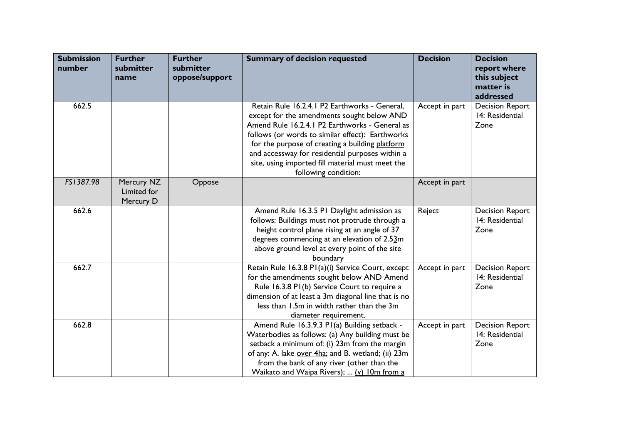| <b>Submission</b><br>number | <b>Further</b><br>submitter<br>name    | <b>Further</b><br>submitter<br>oppose/support | <b>Summary of decision requested</b>                                                                                                                                                                                                                                                                                                                                                | <b>Decision</b> | <b>Decision</b><br>report where<br>this subject<br>matter is<br>addressed |
|-----------------------------|----------------------------------------|-----------------------------------------------|-------------------------------------------------------------------------------------------------------------------------------------------------------------------------------------------------------------------------------------------------------------------------------------------------------------------------------------------------------------------------------------|-----------------|---------------------------------------------------------------------------|
| 662.5                       |                                        |                                               | Retain Rule 16.2.4.1 P2 Earthworks - General,<br>except for the amendments sought below AND<br>Amend Rule 16.2.4.1 P2 Earthworks - General as<br>follows (or words to similar effect): Earthworks<br>for the purpose of creating a building platform<br>and accessway for residential purposes within a<br>site, using imported fill material must meet the<br>following condition: | Accept in part  | <b>Decision Report</b><br>14: Residential<br>Zone                         |
| FS1387.98                   | Mercury NZ<br>Limited for<br>Mercury D | Oppose                                        |                                                                                                                                                                                                                                                                                                                                                                                     | Accept in part  |                                                                           |
| 662.6                       |                                        |                                               | Amend Rule 16.3.5 P1 Daylight admission as<br>follows: Buildings must not protrude through a<br>height control plane rising at an angle of 37<br>degrees commencing at an elevation of 2.53m<br>above ground level at every point of the site<br>boundary                                                                                                                           | Reject          | <b>Decision Report</b><br>14: Residential<br>Zone                         |
| 662.7                       |                                        |                                               | Retain Rule 16.3.8 P1(a)(i) Service Court, except<br>for the amendments sought below AND Amend<br>Rule 16.3.8 P1(b) Service Court to require a<br>dimension of at least a 3m diagonal line that is no<br>less than 1.5m in width rather than the 3m<br>diameter requirement.                                                                                                        | Accept in part  | <b>Decision Report</b><br>14: Residential<br>Zone                         |
| 662.8                       |                                        |                                               | Amend Rule 16.3.9.3 P1(a) Building setback -<br>Waterbodies as follows: (a) Any building must be<br>setback a minimum of: (i) 23m from the margin<br>of any: A. lake over 4ha; and B. wetland; (ii) 23m<br>from the bank of any river (other than the<br>Waikato and Waipa Rivers);  (v) 10m from a                                                                                 | Accept in part  | <b>Decision Report</b><br>14: Residential<br>Zone                         |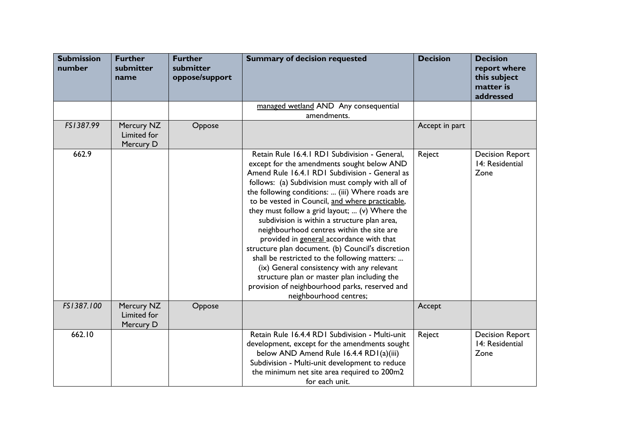| <b>Submission</b><br>number | <b>Further</b><br>submitter<br>name    | <b>Further</b><br>submitter<br>oppose/support | <b>Summary of decision requested</b>                                                                                                                                                                                                                                                                                                                                                                                                                                                                                                                                                                                                                                                                                                                                               | <b>Decision</b> | <b>Decision</b><br>report where<br>this subject<br>matter is<br>addressed |
|-----------------------------|----------------------------------------|-----------------------------------------------|------------------------------------------------------------------------------------------------------------------------------------------------------------------------------------------------------------------------------------------------------------------------------------------------------------------------------------------------------------------------------------------------------------------------------------------------------------------------------------------------------------------------------------------------------------------------------------------------------------------------------------------------------------------------------------------------------------------------------------------------------------------------------------|-----------------|---------------------------------------------------------------------------|
|                             |                                        |                                               | managed wetland AND Any consequential<br>amendments.                                                                                                                                                                                                                                                                                                                                                                                                                                                                                                                                                                                                                                                                                                                               |                 |                                                                           |
| FS1387.99                   | Mercury NZ<br>Limited for<br>Mercury D | Oppose                                        |                                                                                                                                                                                                                                                                                                                                                                                                                                                                                                                                                                                                                                                                                                                                                                                    | Accept in part  |                                                                           |
| 662.9                       |                                        |                                               | Retain Rule 16.4.1 RD1 Subdivision - General,<br>except for the amendments sought below AND<br>Amend Rule 16.4.1 RD1 Subdivision - General as<br>follows: (a) Subdivision must comply with all of<br>the following conditions:  (iii) Where roads are<br>to be vested in Council, and where practicable,<br>they must follow a grid layout;  (v) Where the<br>subdivision is within a structure plan area,<br>neighbourhood centres within the site are<br>provided in general accordance with that<br>structure plan document. (b) Council's discretion<br>shall be restricted to the following matters:<br>(ix) General consistency with any relevant<br>structure plan or master plan including the<br>provision of neighbourhood parks, reserved and<br>neighbourhood centres; | Reject          | <b>Decision Report</b><br>14: Residential<br>Zone                         |
| FS1387.100                  | Mercury NZ<br>Limited for<br>Mercury D | Oppose                                        |                                                                                                                                                                                                                                                                                                                                                                                                                                                                                                                                                                                                                                                                                                                                                                                    | Accept          |                                                                           |
| 662.10                      |                                        |                                               | Retain Rule 16.4.4 RD1 Subdivision - Multi-unit<br>development, except for the amendments sought<br>below AND Amend Rule 16.4.4 RD1(a)(iii)<br>Subdivision - Multi-unit development to reduce<br>the minimum net site area required to 200m2<br>for each unit.                                                                                                                                                                                                                                                                                                                                                                                                                                                                                                                     | Reject          | <b>Decision Report</b><br>14: Residential<br>Zone                         |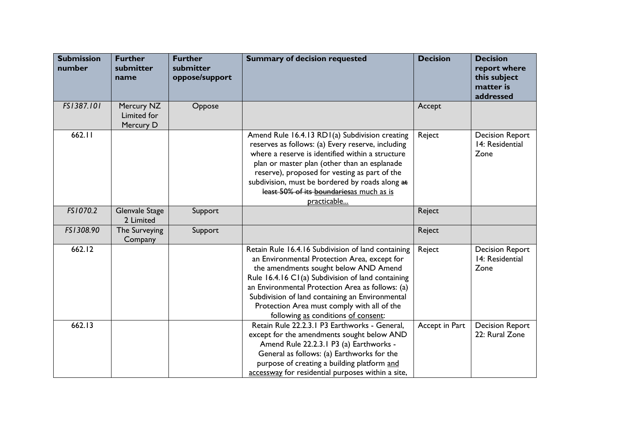| <b>Submission</b><br>number | <b>Further</b><br>submitter<br>name    | <b>Further</b><br>submitter<br>oppose/support | <b>Summary of decision requested</b>                                                                                                                                                                                                                                                                                                                                                          | <b>Decision</b> | <b>Decision</b><br>report where<br>this subject<br>matter is<br>addressed |
|-----------------------------|----------------------------------------|-----------------------------------------------|-----------------------------------------------------------------------------------------------------------------------------------------------------------------------------------------------------------------------------------------------------------------------------------------------------------------------------------------------------------------------------------------------|-----------------|---------------------------------------------------------------------------|
| FS1387.101                  | Mercury NZ<br>Limited for<br>Mercury D | Oppose                                        |                                                                                                                                                                                                                                                                                                                                                                                               | Accept          |                                                                           |
| 662.11                      |                                        |                                               | Amend Rule 16.4.13 RD1(a) Subdivision creating<br>reserves as follows: (a) Every reserve, including<br>where a reserve is identified within a structure<br>plan or master plan (other than an esplanade<br>reserve), proposed for vesting as part of the<br>subdivision, must be bordered by roads along at<br>least 50% of its boundariesas much as is<br>practicable                        | Reject          | <b>Decision Report</b><br>14: Residential<br>Zone                         |
| FS1070.2                    | <b>Glenvale Stage</b><br>2 Limited     | Support                                       |                                                                                                                                                                                                                                                                                                                                                                                               | Reject          |                                                                           |
| FS1308.90                   | The Surveying<br>Company               | Support                                       |                                                                                                                                                                                                                                                                                                                                                                                               | Reject          |                                                                           |
| 662.12                      |                                        |                                               | Retain Rule 16.4.16 Subdivision of land containing<br>an Environmental Protection Area, except for<br>the amendments sought below AND Amend<br>Rule 16.4.16 C1(a) Subdivision of land containing<br>an Environmental Protection Area as follows: (a)<br>Subdivision of land containing an Environmental<br>Protection Area must comply with all of the<br>following as conditions of consent: | Reject          | <b>Decision Report</b><br>14: Residential<br>Zone                         |
| 662.13                      |                                        |                                               | Retain Rule 22.2.3.1 P3 Earthworks - General,<br>except for the amendments sought below AND<br>Amend Rule 22.2.3.1 P3 (a) Earthworks -<br>General as follows: (a) Earthworks for the<br>purpose of creating a building platform and<br>accessway for residential purposes within a site,                                                                                                      | Accept in Part  | <b>Decision Report</b><br>22: Rural Zone                                  |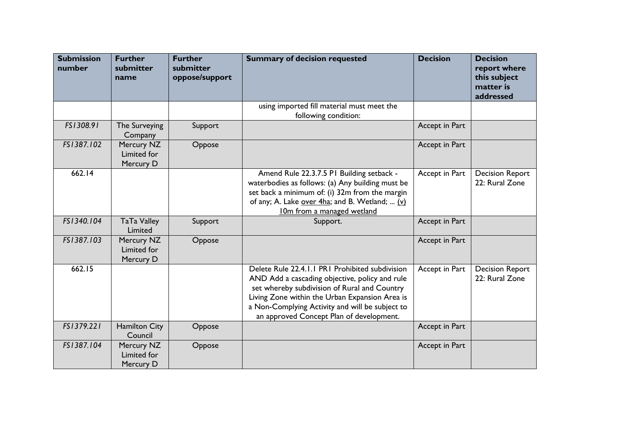| <b>Submission</b><br>number | <b>Further</b><br>submitter<br>name    | <b>Further</b><br>submitter<br>oppose/support | <b>Summary of decision requested</b>                                                                                                                                                                                                                                                               | <b>Decision</b> | <b>Decision</b><br>report where<br>this subject<br>matter is<br>addressed |
|-----------------------------|----------------------------------------|-----------------------------------------------|----------------------------------------------------------------------------------------------------------------------------------------------------------------------------------------------------------------------------------------------------------------------------------------------------|-----------------|---------------------------------------------------------------------------|
|                             |                                        |                                               | using imported fill material must meet the<br>following condition:                                                                                                                                                                                                                                 |                 |                                                                           |
| FS1308.91                   | The Surveying<br>Company               | Support                                       |                                                                                                                                                                                                                                                                                                    | Accept in Part  |                                                                           |
| FS1387.102                  | Mercury NZ<br>Limited for<br>Mercury D | Oppose                                        |                                                                                                                                                                                                                                                                                                    | Accept in Part  |                                                                           |
| 662.14                      |                                        |                                               | Amend Rule 22.3.7.5 PI Building setback -<br>waterbodies as follows: (a) Any building must be<br>set back a minimum of: (i) 32m from the margin<br>of any; A. Lake over 4ha; and B. Wetland;  (v)<br>10m from a managed wetland                                                                    | Accept in Part  | <b>Decision Report</b><br>22: Rural Zone                                  |
| FS1340.104                  | <b>TaTa Valley</b><br>Limited          | Support                                       | Support.                                                                                                                                                                                                                                                                                           | Accept in Part  |                                                                           |
| FS1387.103                  | Mercury NZ<br>Limited for<br>Mercury D | Oppose                                        |                                                                                                                                                                                                                                                                                                    | Accept in Part  |                                                                           |
| 662.15                      |                                        |                                               | Delete Rule 22.4.1.1 PR1 Prohibited subdivision<br>AND Add a cascading objective, policy and rule<br>set whereby subdivision of Rural and Country<br>Living Zone within the Urban Expansion Area is<br>a Non-Complying Activity and will be subject to<br>an approved Concept Plan of development. | Accept in Part  | <b>Decision Report</b><br>22: Rural Zone                                  |
| FS1379.221                  | <b>Hamilton City</b><br>Council        | Oppose                                        |                                                                                                                                                                                                                                                                                                    | Accept in Part  |                                                                           |
| FS1387.104                  | Mercury NZ<br>Limited for<br>Mercury D | Oppose                                        |                                                                                                                                                                                                                                                                                                    | Accept in Part  |                                                                           |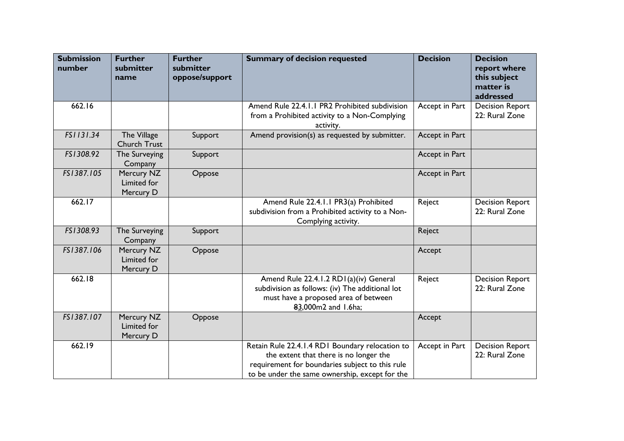| <b>Submission</b><br>number | <b>Further</b><br>submitter<br>name    | <b>Further</b><br>submitter<br>oppose/support | <b>Summary of decision requested</b>                                                                                                                                                           | <b>Decision</b> | <b>Decision</b><br>report where<br>this subject<br>matter is<br>addressed |
|-----------------------------|----------------------------------------|-----------------------------------------------|------------------------------------------------------------------------------------------------------------------------------------------------------------------------------------------------|-----------------|---------------------------------------------------------------------------|
| 662.16                      |                                        |                                               | Amend Rule 22.4.1.1 PR2 Prohibited subdivision<br>from a Prohibited activity to a Non-Complying<br>activity.                                                                                   | Accept in Part  | <b>Decision Report</b><br>22: Rural Zone                                  |
| FS1131.34                   | The Village<br>Church Trust            | Support                                       | Amend provision(s) as requested by submitter.                                                                                                                                                  | Accept in Part  |                                                                           |
| FS1308.92                   | The Surveying<br>Company               | Support                                       |                                                                                                                                                                                                | Accept in Part  |                                                                           |
| FS1387.105                  | Mercury NZ<br>Limited for<br>Mercury D | Oppose                                        |                                                                                                                                                                                                | Accept in Part  |                                                                           |
| 662.17                      |                                        |                                               | Amend Rule 22.4.1.1 PR3(a) Prohibited<br>subdivision from a Prohibited activity to a Non-<br>Complying activity.                                                                               | Reject          | <b>Decision Report</b><br>22: Rural Zone                                  |
| FS1308.93                   | The Surveying<br>Company               | Support                                       |                                                                                                                                                                                                | Reject          |                                                                           |
| FS1387.106                  | Mercury NZ<br>Limited for<br>Mercury D | Oppose                                        |                                                                                                                                                                                                | Accept          |                                                                           |
| 662.18                      |                                        |                                               | Amend Rule 22.4.1.2 RD1(a)(iv) General<br>subdivision as follows: (iv) The additional lot<br>must have a proposed area of between<br>83,000m2 and 1.6ha;                                       | Reject          | <b>Decision Report</b><br>22: Rural Zone                                  |
| FS1387.107                  | Mercury NZ<br>Limited for<br>Mercury D | Oppose                                        |                                                                                                                                                                                                | Accept          |                                                                           |
| 662.19                      |                                        |                                               | Retain Rule 22.4.1.4 RD1 Boundary relocation to<br>the extent that there is no longer the<br>requirement for boundaries subject to this rule<br>to be under the same ownership, except for the | Accept in Part  | <b>Decision Report</b><br>22: Rural Zone                                  |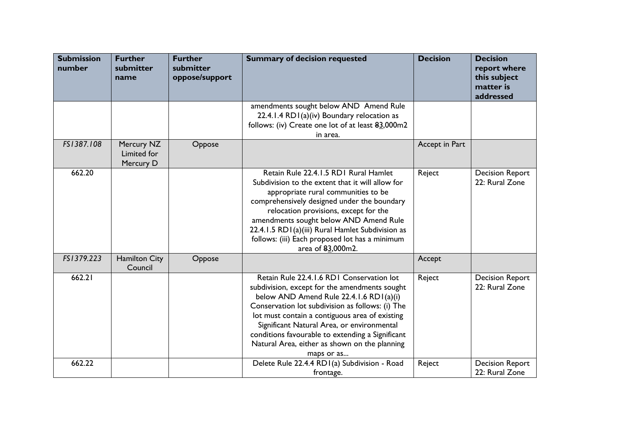| <b>Submission</b><br>number | <b>Further</b><br>submitter<br>name    | <b>Further</b><br>submitter<br>oppose/support | <b>Summary of decision requested</b>                                                                                                                                                                                                                                                                                                                                                                         | <b>Decision</b> | <b>Decision</b><br>report where<br>this subject<br>matter is<br>addressed |
|-----------------------------|----------------------------------------|-----------------------------------------------|--------------------------------------------------------------------------------------------------------------------------------------------------------------------------------------------------------------------------------------------------------------------------------------------------------------------------------------------------------------------------------------------------------------|-----------------|---------------------------------------------------------------------------|
|                             |                                        |                                               | amendments sought below AND Amend Rule<br>22.4.1.4 RD1(a)(iv) Boundary relocation as<br>follows: (iv) Create one lot of at least 83,000m2<br>in area.                                                                                                                                                                                                                                                        |                 |                                                                           |
| FS1387.108                  | Mercury NZ<br>Limited for<br>Mercury D | Oppose                                        |                                                                                                                                                                                                                                                                                                                                                                                                              | Accept in Part  |                                                                           |
| 662.20                      |                                        |                                               | Retain Rule 22.4.1.5 RD1 Rural Hamlet<br>Subdivision to the extent that it will allow for<br>appropriate rural communities to be<br>comprehensively designed under the boundary<br>relocation provisions, except for the<br>amendments sought below AND Amend Rule<br>22.4.1.5 RD1(a)(iii) Rural Hamlet Subdivision as<br>follows: (iii) Each proposed lot has a minimum<br>area of 83,000m2.                | Reject          | <b>Decision Report</b><br>22: Rural Zone                                  |
| FS1379.223                  | <b>Hamilton City</b><br>Council        | Oppose                                        |                                                                                                                                                                                                                                                                                                                                                                                                              | Accept          |                                                                           |
| 662.21                      |                                        |                                               | Retain Rule 22.4.1.6 RD1 Conservation lot<br>subdivision, except for the amendments sought<br>below AND Amend Rule 22.4.1.6 RD1(a)(i)<br>Conservation lot subdivision as follows: (i) The<br>lot must contain a contiguous area of existing<br>Significant Natural Area, or environmental<br>conditions favourable to extending a Significant<br>Natural Area, either as shown on the planning<br>maps or as | Reject          | <b>Decision Report</b><br>22: Rural Zone                                  |
| 662.22                      |                                        |                                               | Delete Rule 22.4.4 RDI(a) Subdivision - Road<br>frontage.                                                                                                                                                                                                                                                                                                                                                    | Reject          | <b>Decision Report</b><br>22: Rural Zone                                  |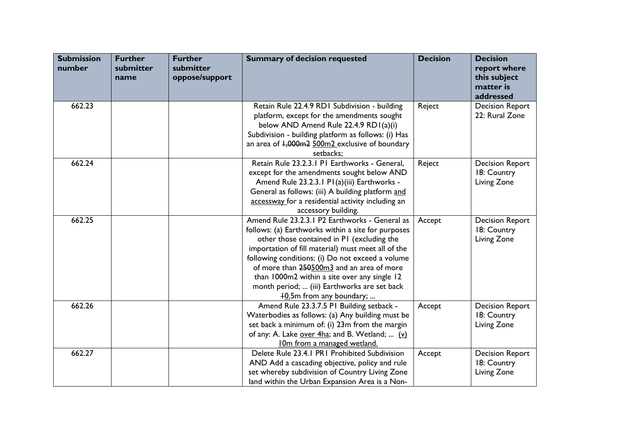| <b>Submission</b><br>number | <b>Further</b><br>submitter<br>name | <b>Further</b><br>submitter<br>oppose/support | <b>Summary of decision requested</b>                                                                                                                                                                                                                                                                                                                                                                                                  | <b>Decision</b> | <b>Decision</b><br>report where<br>this subject<br>matter is<br>addressed |
|-----------------------------|-------------------------------------|-----------------------------------------------|---------------------------------------------------------------------------------------------------------------------------------------------------------------------------------------------------------------------------------------------------------------------------------------------------------------------------------------------------------------------------------------------------------------------------------------|-----------------|---------------------------------------------------------------------------|
| 662.23                      |                                     |                                               | Retain Rule 22.4.9 RD1 Subdivision - building<br>platform, except for the amendments sought<br>below AND Amend Rule 22.4.9 RD1(a)(i)<br>Subdivision - building platform as follows: (i) Has<br>an area of 1,000m2 500m2 exclusive of boundary<br>setbacks:                                                                                                                                                                            | Reject          | <b>Decision Report</b><br>22: Rural Zone                                  |
| 662.24                      |                                     |                                               | Retain Rule 23.2.3.1 P1 Earthworks - General,<br>except for the amendments sought below AND<br>Amend Rule 23.2.3.1 P1(a)(iii) Earthworks -<br>General as follows: (iii) A building platform and<br>accessway for a residential activity including an<br>accessory building.                                                                                                                                                           | Reject          | <b>Decision Report</b><br>18: Country<br>Living Zone                      |
| 662.25                      |                                     |                                               | Amend Rule 23.2.3.1 P2 Earthworks - General as<br>follows: (a) Earthworks within a site for purposes<br>other those contained in PI (excluding the<br>importation of fill material) must meet all of the<br>following conditions: (i) Do not exceed a volume<br>of more than 250500m3 and an area of more<br>than 1000m2 within a site over any single 12<br>month period;  (iii) Earthworks are set back<br>40.5m from any boundary; | Accept          | <b>Decision Report</b><br>18: Country<br>Living Zone                      |
| 662.26                      |                                     |                                               | Amend Rule 23.3.7.5 PI Building setback -<br>Waterbodies as follows: (a) Any building must be<br>set back a minimum of: (i) 23m from the margin<br>of any: A. Lake over 4ha; and B. Wetland;  (v)<br>10m from a managed wetland.                                                                                                                                                                                                      | Accept          | <b>Decision Report</b><br>18: Country<br>Living Zone                      |
| 662.27                      |                                     |                                               | Delete Rule 23.4.1 PR1 Prohibited Subdivision<br>AND Add a cascading objective, policy and rule<br>set whereby subdivision of Country Living Zone<br>land within the Urban Expansion Area is a Non-                                                                                                                                                                                                                                   | Accept          | <b>Decision Report</b><br>18: Country<br>Living Zone                      |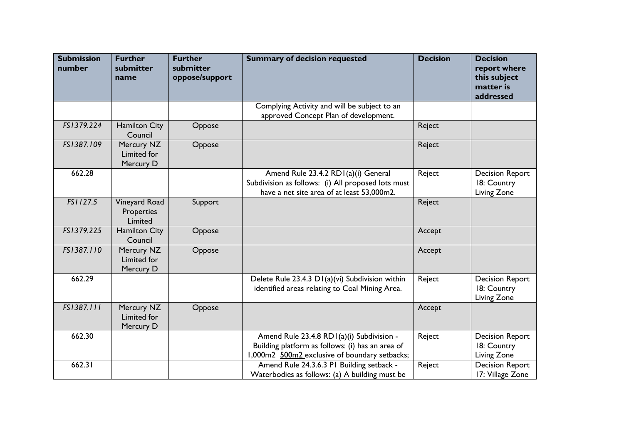| <b>Submission</b><br>number | <b>Further</b><br>submitter<br>name    | <b>Further</b><br>submitter<br>oppose/support | <b>Summary of decision requested</b>                                                                                                           | <b>Decision</b> | <b>Decision</b><br>report where<br>this subject<br>matter is<br>addressed |
|-----------------------------|----------------------------------------|-----------------------------------------------|------------------------------------------------------------------------------------------------------------------------------------------------|-----------------|---------------------------------------------------------------------------|
|                             |                                        |                                               | Complying Activity and will be subject to an<br>approved Concept Plan of development.                                                          |                 |                                                                           |
| FS1379.224                  | <b>Hamilton City</b><br>Council        | Oppose                                        |                                                                                                                                                | Reject          |                                                                           |
| FS1387.109                  | Mercury NZ<br>Limited for<br>Mercury D | Oppose                                        |                                                                                                                                                | Reject          |                                                                           |
| 662.28                      |                                        |                                               | Amend Rule 23.4.2 RD1(a)(i) General<br>Subdivision as follows: (i) All proposed lots must<br>have a net site area of at least 53,000m2.        | Reject          | <b>Decision Report</b><br>18: Country<br>Living Zone                      |
| FS1127.5                    | Vineyard Road<br>Properties<br>Limited | Support                                       |                                                                                                                                                | Reject          |                                                                           |
| FS1379.225                  | <b>Hamilton City</b><br>Council        | Oppose                                        |                                                                                                                                                | Accept          |                                                                           |
| FS1387.110                  | Mercury NZ<br>Limited for<br>Mercury D | Oppose                                        |                                                                                                                                                | Accept          |                                                                           |
| 662.29                      |                                        |                                               | Delete Rule 23.4.3 D1(a)(vi) Subdivision within<br>identified areas relating to Coal Mining Area.                                              | Reject          | <b>Decision Report</b><br>18: Country<br>Living Zone                      |
| FS1387.111                  | Mercury NZ<br>Limited for<br>Mercury D | Oppose                                        |                                                                                                                                                | Accept          |                                                                           |
| 662.30                      |                                        |                                               | Amend Rule 23.4.8 RD1(a)(i) Subdivision -<br>Building platform as follows: (i) has an area of<br>1,000m2 500m2 exclusive of boundary setbacks; | Reject          | <b>Decision Report</b><br>18: Country<br>Living Zone                      |
| 662.31                      |                                        |                                               | Amend Rule 24.3.6.3 PI Building setback -<br>Waterbodies as follows: (a) A building must be                                                    | Reject          | <b>Decision Report</b><br>17: Village Zone                                |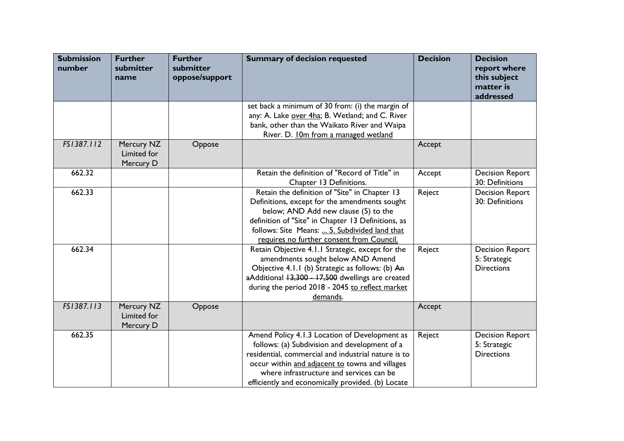| <b>Submission</b><br>number | <b>Further</b><br>submitter<br>name    | <b>Further</b><br>submitter<br>oppose/support | <b>Summary of decision requested</b>                                                                                                                                                                                                                                                                      | <b>Decision</b> | <b>Decision</b><br>report where<br>this subject<br>matter is<br>addressed |
|-----------------------------|----------------------------------------|-----------------------------------------------|-----------------------------------------------------------------------------------------------------------------------------------------------------------------------------------------------------------------------------------------------------------------------------------------------------------|-----------------|---------------------------------------------------------------------------|
|                             |                                        |                                               | set back a minimum of 30 from: (i) the margin of<br>any: A. Lake over 4ha; B. Wetland; and C. River<br>bank, other than the Waikato River and Waipa<br>River. D. 10m from a managed wetland                                                                                                               |                 |                                                                           |
| FS1387.112                  | Mercury NZ<br>Limited for<br>Mercury D | Oppose                                        |                                                                                                                                                                                                                                                                                                           | Accept          |                                                                           |
| 662.32                      |                                        |                                               | Retain the definition of "Record of Title" in<br>Chapter 13 Definitions.                                                                                                                                                                                                                                  | Accept          | <b>Decision Report</b><br>30: Definitions                                 |
| 662.33                      |                                        |                                               | Retain the definition of "Site" in Chapter 13<br>Definitions, except for the amendments sought<br>below; AND Add new clause (5) to the<br>definition of "Site" in Chapter 13 Definitions, as<br>follows: Site Means:  5. Subdivided land that<br>requires no further consent from Council.                | Reject          | <b>Decision Report</b><br>30: Definitions                                 |
| 662.34                      |                                        |                                               | Retain Objective 4.1.1 Strategic, except for the<br>amendments sought below AND Amend<br>Objective 4.1.1 (b) Strategic as follows: (b) An<br>aAdditional +3,300 - 17,500 dwellings are created<br>during the period 2018 - 2045 to reflect market<br>demands.                                             | Reject          | <b>Decision Report</b><br>5: Strategic<br><b>Directions</b>               |
| FS1387.113                  | Mercury NZ<br>Limited for<br>Mercury D | Oppose                                        |                                                                                                                                                                                                                                                                                                           | Accept          |                                                                           |
| 662.35                      |                                        |                                               | Amend Policy 4.1.3 Location of Development as<br>follows: (a) Subdivision and development of a<br>residential, commercial and industrial nature is to<br>occur within and adjacent to towns and villages<br>where infrastructure and services can be<br>efficiently and economically provided. (b) Locate | Reject          | <b>Decision Report</b><br>5: Strategic<br><b>Directions</b>               |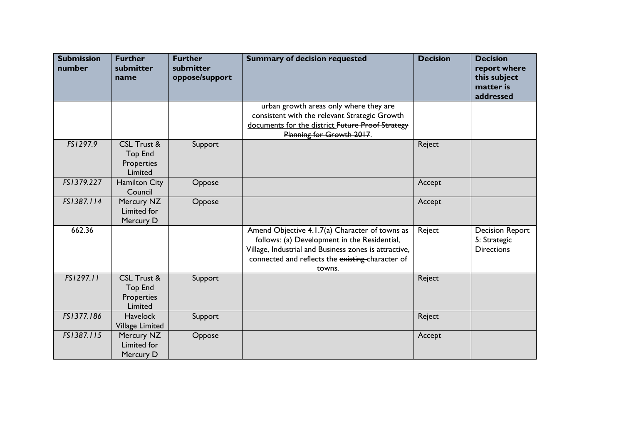| <b>Submission</b><br>number | <b>Further</b><br>submitter<br>name                               | <b>Further</b><br>submitter<br>oppose/support | <b>Summary of decision requested</b>                                                                                                                                                                                  | <b>Decision</b> | <b>Decision</b><br>report where<br>this subject<br>matter is<br>addressed |
|-----------------------------|-------------------------------------------------------------------|-----------------------------------------------|-----------------------------------------------------------------------------------------------------------------------------------------------------------------------------------------------------------------------|-----------------|---------------------------------------------------------------------------|
|                             |                                                                   |                                               | urban growth areas only where they are<br>consistent with the relevant Strategic Growth<br>documents for the district Future Proof Strategy<br>Planning for Growth 2017.                                              |                 |                                                                           |
| FS1297.9                    | <b>CSL Trust &amp;</b><br><b>Top End</b><br>Properties<br>Limited | Support                                       |                                                                                                                                                                                                                       | Reject          |                                                                           |
| FS1379.227                  | <b>Hamilton City</b><br>Council                                   | Oppose                                        |                                                                                                                                                                                                                       | Accept          |                                                                           |
| FS1387.114                  | Mercury NZ<br>Limited for<br>Mercury D                            | Oppose                                        |                                                                                                                                                                                                                       | Accept          |                                                                           |
| 662.36                      |                                                                   |                                               | Amend Objective 4.1.7(a) Character of towns as<br>follows: (a) Development in the Residential,<br>Village, Industrial and Business zones is attractive,<br>connected and reflects the existing-character of<br>towns. | Reject          | <b>Decision Report</b><br>5: Strategic<br><b>Directions</b>               |
| FS1297.11                   | CSL Trust &<br><b>Top End</b><br>Properties<br>Limited            | Support                                       |                                                                                                                                                                                                                       | Reject          |                                                                           |
| FS1377.186                  | <b>Havelock</b><br><b>Village Limited</b>                         | Support                                       |                                                                                                                                                                                                                       | Reject          |                                                                           |
| FS1387.115                  | Mercury NZ<br>Limited for<br>Mercury D                            | Oppose                                        |                                                                                                                                                                                                                       | Accept          |                                                                           |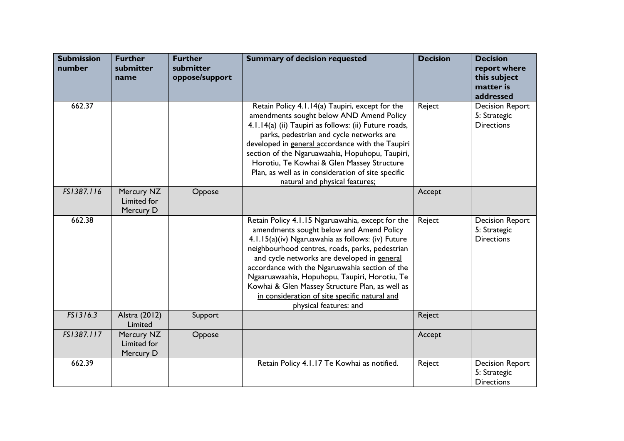| <b>Submission</b><br>number | <b>Further</b><br>submitter<br>name    | <b>Further</b><br>submitter<br>oppose/support | <b>Summary of decision requested</b>                                                                                                                                                                                                                                                                                                                                                                                                                                                 | <b>Decision</b> | <b>Decision</b><br>report where<br>this subject<br>matter is<br>addressed |
|-----------------------------|----------------------------------------|-----------------------------------------------|--------------------------------------------------------------------------------------------------------------------------------------------------------------------------------------------------------------------------------------------------------------------------------------------------------------------------------------------------------------------------------------------------------------------------------------------------------------------------------------|-----------------|---------------------------------------------------------------------------|
| 662.37                      |                                        |                                               | Retain Policy 4.1.14(a) Taupiri, except for the<br>amendments sought below AND Amend Policy<br>4.1.14(a) (ii) Taupiri as follows: (ii) Future roads,<br>parks, pedestrian and cycle networks are<br>developed in general accordance with the Taupiri<br>section of the Ngaruawaahia, Hopuhopu, Taupiri,<br>Horotiu, Te Kowhai & Glen Massey Structure<br>Plan, as well as in consideration of site specific<br>natural and physical features;                                        | Reject          | <b>Decision Report</b><br>5: Strategic<br><b>Directions</b>               |
| FS1387.116                  | Mercury NZ<br>Limited for<br>Mercury D | Oppose                                        |                                                                                                                                                                                                                                                                                                                                                                                                                                                                                      | Accept          |                                                                           |
| 662.38                      |                                        |                                               | Retain Policy 4.1.15 Ngaruawahia, except for the<br>amendments sought below and Amend Policy<br>4.1.15(a)(iv) Ngaruawahia as follows: (iv) Future<br>neighbourhood centres, roads, parks, pedestrian<br>and cycle networks are developed in general<br>accordance with the Ngaruawahia section of the<br>Ngaaruawaahia, Hopuhopu, Taupiri, Horotiu, Te<br>Kowhai & Glen Massey Structure Plan, as well as<br>in consideration of site specific natural and<br>physical features: and | Reject          | <b>Decision Report</b><br>5: Strategic<br><b>Directions</b>               |
| FS1316.3                    | Alstra (2012)<br>Limited               | Support                                       |                                                                                                                                                                                                                                                                                                                                                                                                                                                                                      | Reject          |                                                                           |
| FS1387.117                  | Mercury NZ<br>Limited for<br>Mercury D | Oppose                                        |                                                                                                                                                                                                                                                                                                                                                                                                                                                                                      | Accept          |                                                                           |
| 662.39                      |                                        |                                               | Retain Policy 4.1.17 Te Kowhai as notified.                                                                                                                                                                                                                                                                                                                                                                                                                                          | Reject          | <b>Decision Report</b><br>5: Strategic<br><b>Directions</b>               |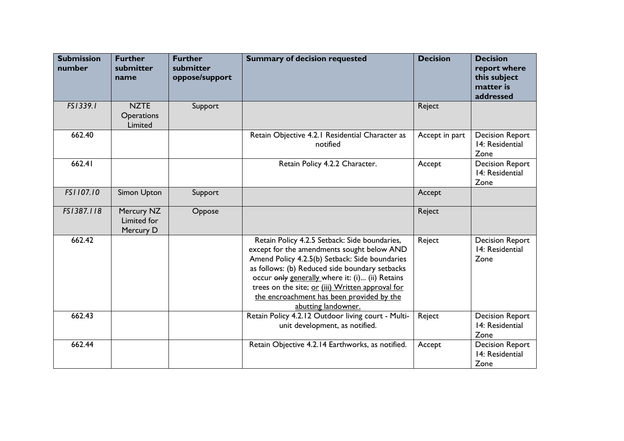| <b>Submission</b><br>number | <b>Further</b><br>submitter<br>name         | <b>Further</b><br>submitter<br>oppose/support | <b>Summary of decision requested</b>                                                                                                                                                                                                                                                                                                                                       | <b>Decision</b> | <b>Decision</b><br>report where<br>this subject<br>matter is<br>addressed |
|-----------------------------|---------------------------------------------|-----------------------------------------------|----------------------------------------------------------------------------------------------------------------------------------------------------------------------------------------------------------------------------------------------------------------------------------------------------------------------------------------------------------------------------|-----------------|---------------------------------------------------------------------------|
| FS1339.1                    | <b>NZTE</b><br><b>Operations</b><br>Limited | Support                                       |                                                                                                                                                                                                                                                                                                                                                                            | Reject          |                                                                           |
| 662.40                      |                                             |                                               | Retain Objective 4.2.1 Residential Character as<br>notified                                                                                                                                                                                                                                                                                                                | Accept in part  | <b>Decision Report</b><br>14: Residential<br>Zone                         |
| 662.41                      |                                             |                                               | Retain Policy 4.2.2 Character.                                                                                                                                                                                                                                                                                                                                             | Accept          | <b>Decision Report</b><br>14: Residential<br>Zone                         |
| FS1107.10                   | Simon Upton                                 | Support                                       |                                                                                                                                                                                                                                                                                                                                                                            | Accept          |                                                                           |
| FS1387.118                  | Mercury NZ<br>Limited for<br>Mercury D      | Oppose                                        |                                                                                                                                                                                                                                                                                                                                                                            | Reject          |                                                                           |
| 662.42                      |                                             |                                               | Retain Policy 4.2.5 Setback: Side boundaries,<br>except for the amendments sought below AND<br>Amend Policy 4.2.5(b) Setback: Side boundaries<br>as follows: (b) Reduced side boundary setbacks<br>occur only generally where it: (i) (ii) Retains<br>trees on the site; or (iii) Written approval for<br>the encroachment has been provided by the<br>abutting landowner. | Reject          | <b>Decision Report</b><br>14: Residential<br>Zone                         |
| 662.43                      |                                             |                                               | Retain Policy 4.2.12 Outdoor living court - Multi-<br>unit development, as notified.                                                                                                                                                                                                                                                                                       | Reject          | <b>Decision Report</b><br>14: Residential<br>Zone                         |
| 662.44                      |                                             |                                               | Retain Objective 4.2.14 Earthworks, as notified.                                                                                                                                                                                                                                                                                                                           | Accept          | <b>Decision Report</b><br>14: Residential<br>Zone                         |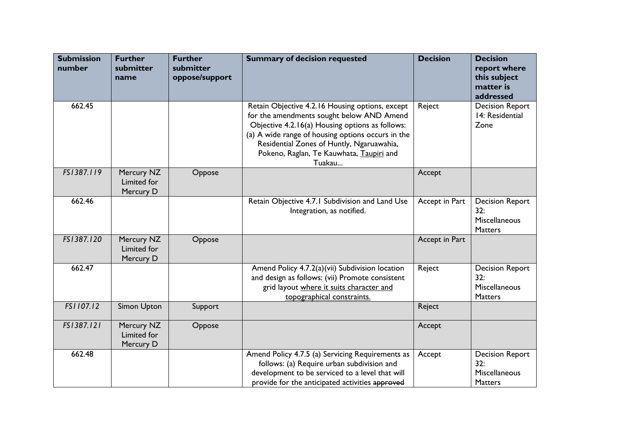| <b>Submission</b><br>number | <b>Further</b><br>submitter<br>name    | <b>Further</b><br>submitter<br>oppose/support | <b>Summary of decision requested</b>                                                                                                                                                                                                                                                                    | <b>Decision</b> | <b>Decision</b><br>report where<br>this subject<br>matter is<br>addressed |
|-----------------------------|----------------------------------------|-----------------------------------------------|---------------------------------------------------------------------------------------------------------------------------------------------------------------------------------------------------------------------------------------------------------------------------------------------------------|-----------------|---------------------------------------------------------------------------|
| 662.45                      |                                        |                                               | Retain Objective 4.2.16 Housing options, except<br>for the amendments sought below AND Amend<br>Objective 4.2.16(a) Housing options as follows:<br>(a) A wide range of housing options occurs in the<br>Residential Zones of Huntly, Ngaruawahia,<br>Pokeno, Raglan, Te Kauwhata, Taupiri and<br>Tuakau | Reject          | <b>Decision Report</b><br>14: Residential<br>Zone                         |
| FS1387.119                  | Mercury NZ<br>Limited for<br>Mercury D | Oppose                                        |                                                                                                                                                                                                                                                                                                         | Accept          |                                                                           |
| 662.46                      |                                        |                                               | Retain Objective 4.7.1 Subdivision and Land Use<br>Integration, as notified.                                                                                                                                                                                                                            | Accept in Part  | <b>Decision Report</b><br>32:<br>Miscellaneous<br><b>Matters</b>          |
| FS1387.120                  | Mercury NZ<br>Limited for<br>Mercury D | Oppose                                        |                                                                                                                                                                                                                                                                                                         | Accept in Part  |                                                                           |
| 662.47                      |                                        |                                               | Amend Policy 4.7.2(a)(vii) Subdivision location<br>and design as follows: (vii) Promote consistent<br>grid layout where it suits character and<br>topographical constraints.                                                                                                                            | Reject          | <b>Decision Report</b><br>32:<br>Miscellaneous<br>Matters                 |
| FS1107.12                   | Simon Upton                            | Support                                       |                                                                                                                                                                                                                                                                                                         | Reject          |                                                                           |
| FS1387.121                  | Mercury NZ<br>Limited for<br>Mercury D | Oppose                                        |                                                                                                                                                                                                                                                                                                         | Accept          |                                                                           |
| 662.48                      |                                        |                                               | Amend Policy 4.7.5 (a) Servicing Requirements as<br>follows: (a) Require urban subdivision and<br>development to be serviced to a level that will<br>provide for the anticipated activities approved                                                                                                    | Accept          | <b>Decision Report</b><br>32:<br>Miscellaneous<br><b>Matters</b>          |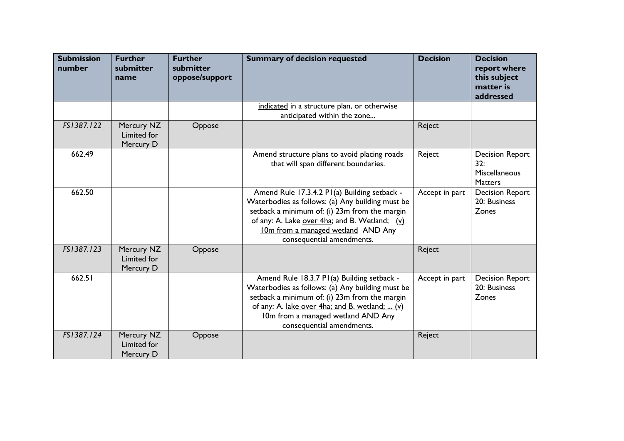| <b>Submission</b><br>number | <b>Further</b><br>submitter<br>name           | <b>Further</b><br>submitter<br>oppose/support | <b>Summary of decision requested</b>                                                                                                                                                                                                                                  | <b>Decision</b> | <b>Decision</b><br>report where<br>this subject<br>matter is<br>addressed |
|-----------------------------|-----------------------------------------------|-----------------------------------------------|-----------------------------------------------------------------------------------------------------------------------------------------------------------------------------------------------------------------------------------------------------------------------|-----------------|---------------------------------------------------------------------------|
|                             |                                               |                                               | indicated in a structure plan, or otherwise<br>anticipated within the zone                                                                                                                                                                                            |                 |                                                                           |
| FS1387.122                  | Mercury NZ<br>Limited for<br>Mercury D        | Oppose                                        |                                                                                                                                                                                                                                                                       | Reject          |                                                                           |
| 662.49                      |                                               |                                               | Amend structure plans to avoid placing roads<br>that will span different boundaries.                                                                                                                                                                                  | Reject          | <b>Decision Report</b><br>32:<br><b>Miscellaneous</b><br>Matters          |
| 662.50                      |                                               |                                               | Amend Rule 17.3.4.2 P1(a) Building setback -<br>Waterbodies as follows: (a) Any building must be<br>setback a minimum of: (i) 23m from the margin<br>of any: A. Lake over 4ha; and B. Wetland; (v)<br>10m from a managed wetland AND Any<br>consequential amendments. | Accept in part  | <b>Decision Report</b><br>20: Business<br>Zones                           |
| FS1387.123                  | Mercury NZ<br><b>Limited for</b><br>Mercury D | Oppose                                        |                                                                                                                                                                                                                                                                       | Reject          |                                                                           |
| 662.51                      |                                               |                                               | Amend Rule 18.3.7 P1(a) Building setback -<br>Waterbodies as follows: (a) Any building must be<br>setback a minimum of: (i) 23m from the margin<br>of any: A. lake over 4ha; and B. wetland;  (v)<br>10m from a managed wetland AND Any<br>consequential amendments.  | Accept in part  | <b>Decision Report</b><br>20: Business<br>Zones                           |
| FS1387.124                  | Mercury NZ<br><b>Limited for</b><br>Mercury D | Oppose                                        |                                                                                                                                                                                                                                                                       | Reject          |                                                                           |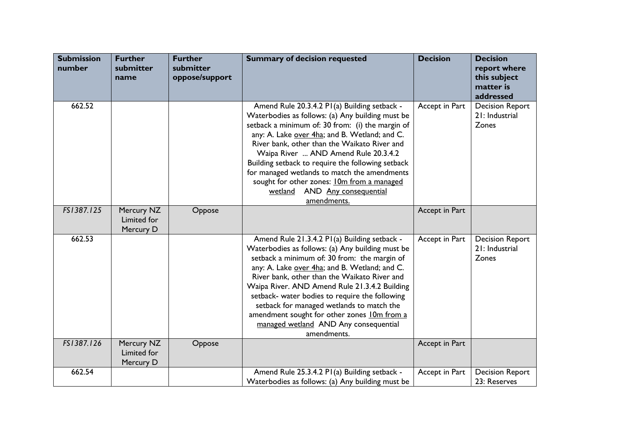| <b>Submission</b><br>number | <b>Further</b><br>submitter<br>name    | <b>Further</b><br>submitter<br>oppose/support | <b>Summary of decision requested</b>                                                                                                                                                                                                                                                                                                                                                                                                                                                                       | <b>Decision</b> | <b>Decision</b><br>report where<br>this subject<br>matter is<br>addressed |
|-----------------------------|----------------------------------------|-----------------------------------------------|------------------------------------------------------------------------------------------------------------------------------------------------------------------------------------------------------------------------------------------------------------------------------------------------------------------------------------------------------------------------------------------------------------------------------------------------------------------------------------------------------------|-----------------|---------------------------------------------------------------------------|
| 662.52                      |                                        |                                               | Amend Rule 20.3.4.2 PI(a) Building setback -<br>Waterbodies as follows: (a) Any building must be<br>setback a minimum of: 30 from: (i) the margin of<br>any: A. Lake over 4ha; and B. Wetland; and C.<br>River bank, other than the Waikato River and<br>Waipa River  AND Amend Rule 20.3.4.2<br>Building setback to require the following setback<br>for managed wetlands to match the amendments<br>sought for other zones: <b>10m from a managed</b><br>AND Any consequential<br>wetland<br>amendments. | Accept in Part  | <b>Decision Report</b><br>21: Industrial<br>Zones                         |
| FS1387.125                  | Mercury NZ<br>Limited for<br>Mercury D | Oppose                                        |                                                                                                                                                                                                                                                                                                                                                                                                                                                                                                            | Accept in Part  |                                                                           |
| 662.53                      |                                        |                                               | Amend Rule 21.3.4.2 P1(a) Building setback -<br>Waterbodies as follows: (a) Any building must be<br>setback a minimum of: 30 from: the margin of<br>any: A. Lake over 4ha; and B. Wetland; and C.<br>River bank, other than the Waikato River and<br>Waipa River. AND Amend Rule 21.3.4.2 Building<br>setback- water bodies to require the following<br>setback for managed wetlands to match the<br>amendment sought for other zones 10m from a<br>managed wetland AND Any consequential<br>amendments.   | Accept in Part  | <b>Decision Report</b><br>21: Industrial<br>Zones                         |
| FS1387.126                  | Mercury NZ<br>Limited for<br>Mercury D | Oppose                                        |                                                                                                                                                                                                                                                                                                                                                                                                                                                                                                            | Accept in Part  |                                                                           |
| 662.54                      |                                        |                                               | Amend Rule 25.3.4.2 PI(a) Building setback -<br>Waterbodies as follows: (a) Any building must be                                                                                                                                                                                                                                                                                                                                                                                                           | Accept in Part  | <b>Decision Report</b><br>23: Reserves                                    |